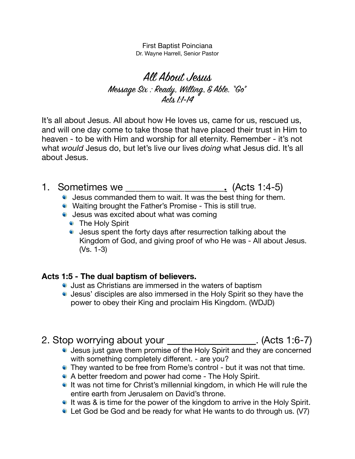First Baptist Poinciana Dr. Wayne Harrell, Senior Pastor

All About Jesus Message Six : Ready, Willing, & Able. "Go" Acts 1:1-14

It's all about Jesus. All about how He loves us, came for us, rescued us, and will one day come to take those that have placed their trust in Him to heaven - to be with Him and worship for all eternity. Remember - it's not what *would* Jesus do, but let's live our lives *doing* what Jesus did. It's all about Jesus.

- 1. Sometimes we \_\_\_\_\_\_\_\_\_\_\_\_\_\_\_\_\_\_\_\_**.** (Acts 1:4-5)
	- Jesus commanded them to wait. It was the best thing for them.
	- Waiting brought the Father's Promise This is still true.
	- Jesus was excited about what was coming
		- **The Holy Spirit**
		- Jesus spent the forty days after resurrection talking about the Kingdom of God, and giving proof of who He was - All about Jesus. (Vs. 1-3)

### **Acts 1:5 - The dual baptism of believers.**

- Just as Christians are immersed in the waters of baptism
- Jesus' disciples are also immersed in the Holy Spirit so they have the power to obey their King and proclaim His Kingdom. (WDJD)

# 2. Stop worrying about your **\_\_\_\_\_\_\_\_\_\_\_\_\_\_\_\_\_\_**. (Acts 1:6-7)

- Jesus just gave them promise of the Holy Spirit and they are concerned with something completely different. - are you?
- They wanted to be free from Rome's control but it was not that time.
- A better freedom and power had come The Holy Spirit.
- If was not time for Christ's millennial kingdom, in which He will rule the entire earth from Jerusalem on David's throne.
- If was & is time for the power of the kingdom to arrive in the Holy Spirit.
- Let God be God and be ready for what He wants to do through us. (V7)